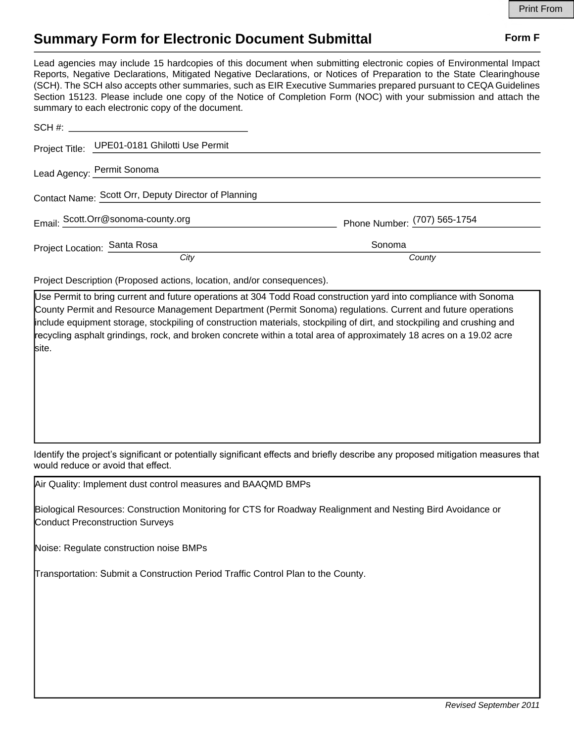## **Summary Form for Electronic Document Submittal Form F Form F**

Lead agencies may include 15 hardcopies of this document when submitting electronic copies of Environmental Impact Reports, Negative Declarations, Mitigated Negative Declarations, or Notices of Preparation to the State Clearinghouse (SCH). The SCH also accepts other summaries, such as EIR Executive Summaries prepared pursuant to CEQA Guidelines Section 15123. Please include one copy of the Notice of Completion Form (NOC) with your submission and attach the summary to each electronic copy of the document.

|                                                      | Project Title: UPE01-0181 Ghilotti Use Permit |                              |
|------------------------------------------------------|-----------------------------------------------|------------------------------|
|                                                      | Lead Agency: Permit Sonoma                    |                              |
| Contact Name: Scott Orr, Deputy Director of Planning |                                               |                              |
|                                                      | Email: Scott.Orr@sonoma-county.org            | Phone Number: (707) 565-1754 |
| Project Location: Santa Rosa                         |                                               | Sonoma                       |
|                                                      | City                                          | County                       |

Project Description (Proposed actions, location, and/or consequences).

Use Permit to bring current and future operations at 304 Todd Road construction yard into compliance with Sonoma County Permit and Resource Management Department (Permit Sonoma) regulations. Current and future operations include equipment storage, stockpiling of construction materials, stockpiling of dirt, and stockpiling and crushing and recycling asphalt grindings, rock, and broken concrete within a total area of approximately 18 acres on a 19.02 acre site.

Identify the project's significant or potentially significant effects and briefly describe any proposed mitigation measures that would reduce or avoid that effect.

Air Quality: Implement dust control measures and BAAQMD BMPs

Biological Resources: Construction Monitoring for CTS for Roadway Realignment and Nesting Bird Avoidance or Conduct Preconstruction Surveys

Noise: Regulate construction noise BMPs

Transportation: Submit a Construction Period Traffic Control Plan to the County.